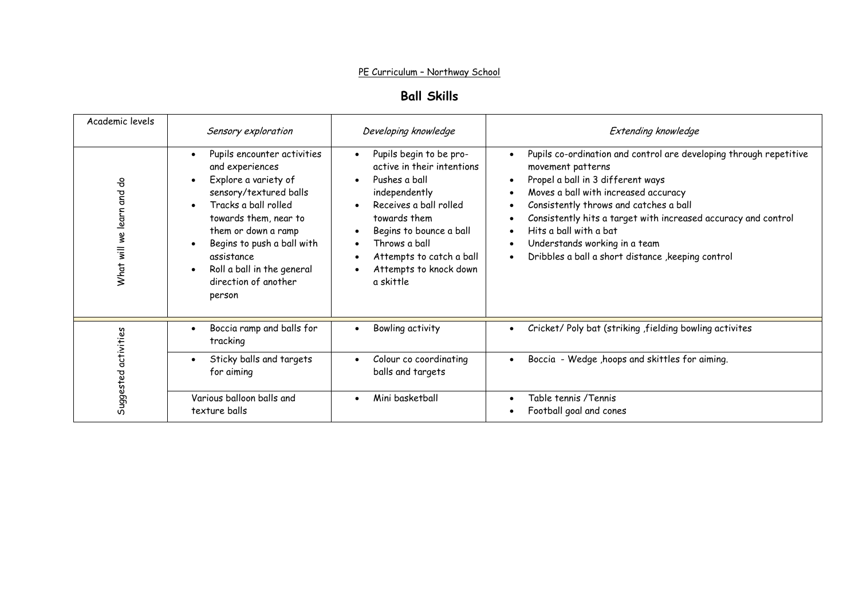#### PE Curriculum – Northway School

# **Ball Skills**

| Academic levels             | Sensory exploration                                                                                                                                                                                                                                                                  | Developing knowledge                                                                                                                                                                                                                                                                                 | Extending knowledge                                                                                                                                                                                                                                                                                                                                                                               |
|-----------------------------|--------------------------------------------------------------------------------------------------------------------------------------------------------------------------------------------------------------------------------------------------------------------------------------|------------------------------------------------------------------------------------------------------------------------------------------------------------------------------------------------------------------------------------------------------------------------------------------------------|---------------------------------------------------------------------------------------------------------------------------------------------------------------------------------------------------------------------------------------------------------------------------------------------------------------------------------------------------------------------------------------------------|
| 융<br>What will we learn and | Pupils encounter activities<br>and experiences<br>Explore a variety of<br>sensory/textured balls<br>Tracks a ball rolled<br>towards them, near to<br>them or down a ramp<br>Begins to push a ball with<br>assistance<br>Roll a ball in the general<br>direction of another<br>person | Pupils begin to be pro-<br>$\bullet$<br>active in their intentions<br>Pushes a ball<br>$\bullet$<br>independently<br>Receives a ball rolled<br>towards them<br>Begins to bounce a ball<br>$\bullet$<br>Throws a ball<br>$\bullet$<br>Attempts to catch a ball<br>Attempts to knock down<br>a skittle | Pupils co-ordination and control are developing through repetitive<br>movement patterns<br>Propel a ball in 3 different ways<br>Moves a ball with increased accuracy<br>Consistently throws and catches a ball<br>Consistently hits a target with increased accuracy and control<br>Hits a ball with a bat<br>Understands working in a team<br>Dribbles a ball a short distance , keeping control |
| Suggested activities        | Boccia ramp and balls for<br>tracking                                                                                                                                                                                                                                                | Bowling activity<br>$\bullet$                                                                                                                                                                                                                                                                        | Cricket/ Poly bat (striking , fielding bowling activites                                                                                                                                                                                                                                                                                                                                          |
|                             | Sticky balls and targets<br>for aiming                                                                                                                                                                                                                                               | Colour co coordinating<br>$\bullet$<br>balls and targets                                                                                                                                                                                                                                             | Boccia - Wedge, hoops and skittles for aiming.                                                                                                                                                                                                                                                                                                                                                    |
|                             | Various balloon balls and<br>texture balls                                                                                                                                                                                                                                           | Mini basketball<br>$\bullet$                                                                                                                                                                                                                                                                         | Table tennis /Tennis<br>Football goal and cones                                                                                                                                                                                                                                                                                                                                                   |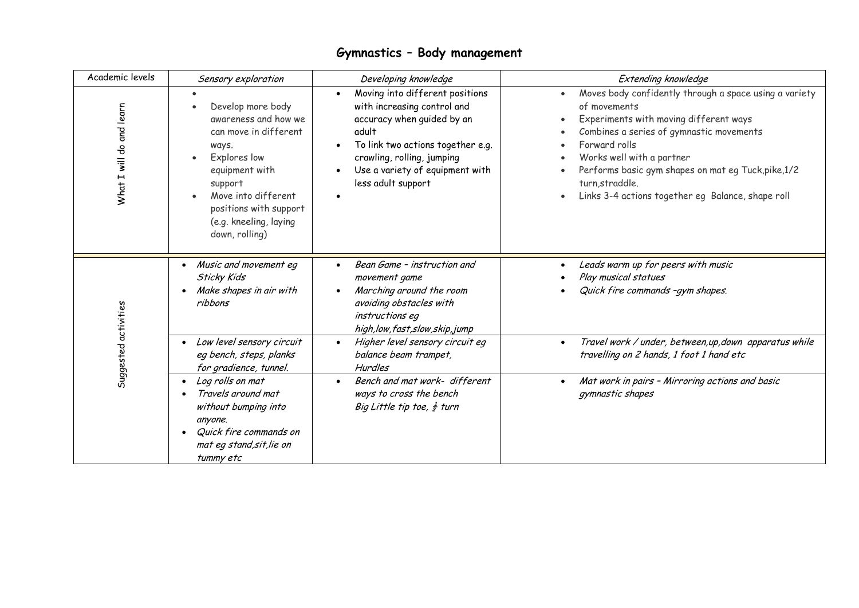| Academic levels          | Sensory exploration                                                                                                                                                                                                   | Developing knowledge                                                                                                                                                                                                                           | <b>Extending knowledge</b>                                                                                                                                                                                                                                                                                                                |
|--------------------------|-----------------------------------------------------------------------------------------------------------------------------------------------------------------------------------------------------------------------|------------------------------------------------------------------------------------------------------------------------------------------------------------------------------------------------------------------------------------------------|-------------------------------------------------------------------------------------------------------------------------------------------------------------------------------------------------------------------------------------------------------------------------------------------------------------------------------------------|
| What I will do and learn | Develop more body<br>awareness and how we<br>can move in different<br>ways.<br>Explores low<br>equipment with<br>support<br>Move into different<br>positions with support<br>(e.g. kneeling, laying<br>down, rolling) | Moving into different positions<br>$\bullet$<br>with increasing control and<br>accuracy when guided by an<br>adult<br>To link two actions together e.g.<br>crawling, rolling, jumping<br>Use a variety of equipment with<br>less adult support | Moves body confidently through a space using a variety<br>of movements<br>Experiments with moving different ways<br>Combines a series of gymnastic movements<br>Forward rolls<br>Works well with a partner<br>Performs basic gym shapes on mat eg Tuck, pike, 1/2<br>turn, straddle.<br>Links 3-4 actions together eg Balance, shape roll |
| Suggested activities     | • Music and movement eq<br><b>Sticky Kids</b><br>Make shapes in air with<br>ribbons<br>• Low level sensory circuit                                                                                                    | Bean Game - instruction and<br>movement game<br>Marching around the room<br>avoiding obstacles with<br>instructions eq<br>high, low, fast, slow, skip, jump<br>Higher level sensory circuit eg<br>$\bullet$                                    | Leads warm up for peers with music<br>Play musical statues<br>Quick fire commands -qym shapes.<br>Travel work / under, between, up, down apparatus while<br>$\bullet$                                                                                                                                                                     |
|                          | eg bench, steps, planks<br>for gradience, tunnel.                                                                                                                                                                     | balance beam trampet,<br><b>Hurdles</b>                                                                                                                                                                                                        | travelling on 2 hands, 1 foot 1 hand etc                                                                                                                                                                                                                                                                                                  |
|                          | Log rolls on mat<br>Travels around mat<br>without bumping into<br>anyone.<br>Quick fire commands on<br>mat eg stand, sit, lie on<br>tummy etc                                                                         | Bench and mat work- different<br>$\bullet$<br>ways to cross the bench<br>Big Little tip toe, $\frac{1}{2}$ turn                                                                                                                                | Mat work in pairs - Mirroring actions and basic<br>gymnastic shapes                                                                                                                                                                                                                                                                       |

# **Gymnastics – Body management**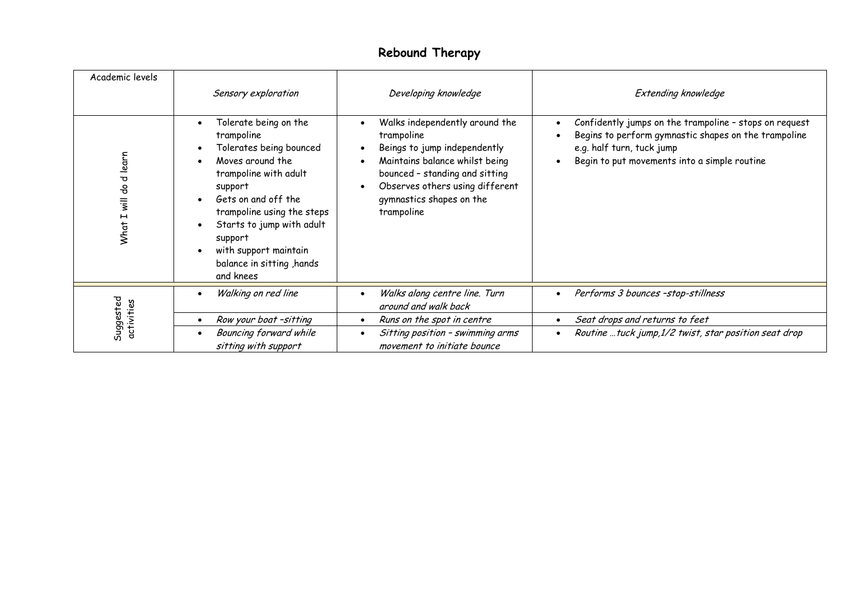## **Rebound Therapy**

| Academic levels           | Sensory exploration                                                                                                                                                                                                                                                                                              | Developing knowledge                                                                                                                                                                                                                                         | Extending knowledge                                                                                                                                                                         |
|---------------------------|------------------------------------------------------------------------------------------------------------------------------------------------------------------------------------------------------------------------------------------------------------------------------------------------------------------|--------------------------------------------------------------------------------------------------------------------------------------------------------------------------------------------------------------------------------------------------------------|---------------------------------------------------------------------------------------------------------------------------------------------------------------------------------------------|
| will do d learn<br>What I | Tolerate being on the<br>$\bullet$<br>trampoline<br>Tolerates being bounced<br>Moves around the<br>trampoline with adult<br>support<br>Gets on and off the<br>$\bullet$<br>trampoline using the steps<br>Starts to jump with adult<br>support<br>with support maintain<br>balance in sitting, hands<br>and knees | Walks independently around the<br>$\bullet$<br>trampoline<br>Beings to jump independently<br>٠<br>Maintains balance whilst being<br>bounced - standing and sitting<br>Observes others using different<br>$\bullet$<br>gymnastics shapes on the<br>trampoline | Confidently jumps on the trampoline - stops on request<br>Begins to perform gymnastic shapes on the trampoline<br>e.g. half turn, tuck jump<br>Begin to put movements into a simple routine |
| Suggested<br>activities   | Walking on red line                                                                                                                                                                                                                                                                                              | Walks along centre line. Turn<br>$\bullet$<br>around and walk back                                                                                                                                                                                           | Performs 3 bounces -stop-stillness                                                                                                                                                          |
|                           | Row your boat -sitting<br>$\bullet$                                                                                                                                                                                                                                                                              | Runs on the spot in centre<br>$\bullet$                                                                                                                                                                                                                      | Seat drops and returns to feet                                                                                                                                                              |
|                           | Bouncing forward while<br>$\bullet$<br>sitting with support                                                                                                                                                                                                                                                      | Sitting position - swimming arms<br>$\bullet$<br>movement to initiate bounce                                                                                                                                                                                 | Routine  tuck jump, 1/2 twist, star position seat drop                                                                                                                                      |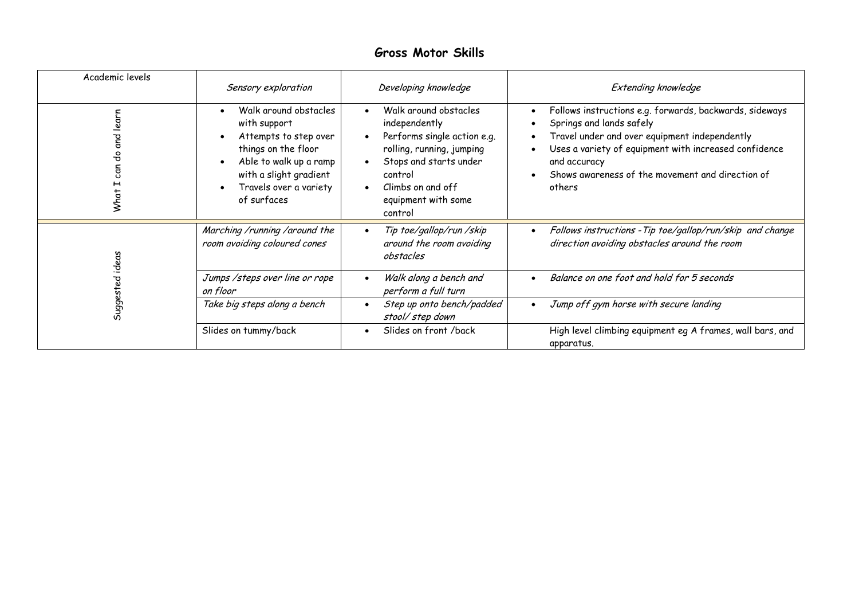## **Gross Motor Skills**

| Academic levels                                            | Sensory exploration                                                                                                                                                                | Developing knowledge                                                                                                                                                                                                     | Extending knowledge                                                                                                                                                                                                                                                                      |
|------------------------------------------------------------|------------------------------------------------------------------------------------------------------------------------------------------------------------------------------------|--------------------------------------------------------------------------------------------------------------------------------------------------------------------------------------------------------------------------|------------------------------------------------------------------------------------------------------------------------------------------------------------------------------------------------------------------------------------------------------------------------------------------|
| learn<br>ទ<br>ទ<br>응<br>can<br>$\mathbf \mathbf H$<br>What | Walk around obstacles<br>with support<br>Attempts to step over<br>things on the floor<br>Able to walk up a ramp<br>with a slight gradient<br>Travels over a variety<br>of surfaces | Walk around obstacles<br>$\bullet$<br>independently<br>Performs single action e.g.<br>rolling, running, jumping<br>Stops and starts under<br>control<br>Climbs on and off<br>$\bullet$<br>equipment with some<br>control | Follows instructions e.g. forwards, backwards, sideways<br>$\bullet$<br>Springs and lands safely<br>Travel under and over equipment independently<br>Uses a variety of equipment with increased confidence<br>and accuracy<br>Shows awareness of the movement and direction of<br>others |
|                                                            | Marching /running /around the<br>room avoiding coloured cones                                                                                                                      | Tip toe/gallop/run /skip<br>around the room avoiding<br>obstacles                                                                                                                                                        | Follows instructions - Tip toe/gallop/run/skip and change<br>direction avoiding obstacles around the room                                                                                                                                                                                |
| Suggested ideas                                            | Jumps / steps over line or rope<br>on floor                                                                                                                                        | Walk along a bench and<br>perform a full turn                                                                                                                                                                            | Balance on one foot and hold for 5 seconds<br>$\bullet$                                                                                                                                                                                                                                  |
|                                                            | Take big steps along a bench                                                                                                                                                       | Step up onto bench/padded<br>$\bullet$<br>stool/step down                                                                                                                                                                | Jump off gym horse with secure landing<br>$\bullet$                                                                                                                                                                                                                                      |
|                                                            | Slides on tummy/back                                                                                                                                                               | Slides on front /back                                                                                                                                                                                                    | High level climbing equipment eg A frames, wall bars, and<br>apparatus.                                                                                                                                                                                                                  |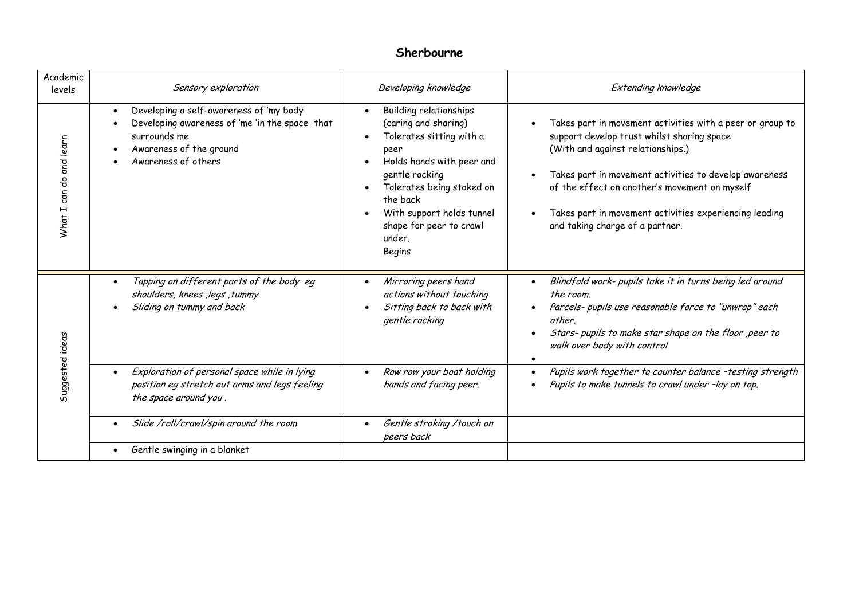## **Sherbourne**

| Academic<br>levels      | Sensory exploration                                                                                                                                                                                                                | Developing knowledge                                                                                                                                                                                                                                   | <b>Extending knowledge</b>                                                                                                                                                                                                                                                                                                                            |
|-------------------------|------------------------------------------------------------------------------------------------------------------------------------------------------------------------------------------------------------------------------------|--------------------------------------------------------------------------------------------------------------------------------------------------------------------------------------------------------------------------------------------------------|-------------------------------------------------------------------------------------------------------------------------------------------------------------------------------------------------------------------------------------------------------------------------------------------------------------------------------------------------------|
| What I can do and learn | Developing a self-awareness of 'my body<br>$\bullet$<br>Developing awareness of 'me 'in the space that<br>$\bullet$<br>surrounds me<br>Awareness of the ground<br>Awareness of others                                              | Building relationships<br>(caring and sharing)<br>Tolerates sitting with a<br>peer<br>Holds hands with peer and<br>gentle rocking<br>Tolerates being stoked on<br>the back<br>With support holds tunnel<br>shape for peer to crawl<br>under.<br>Begins | Takes part in movement activities with a peer or group to<br>support develop trust whilst sharing space<br>(With and against relationships.)<br>Takes part in movement activities to develop awareness<br>of the effect on another's movement on myself<br>Takes part in movement activities experiencing leading<br>and taking charge of a partner.  |
| Suggested ideas         | Tapping on different parts of the body eq<br>$\bullet$<br>shoulders, knees, legs, tummy<br>Sliding on tummy and back<br>Exploration of personal space while in lying<br>$\bullet$<br>position eg stretch out arms and legs feeling | Mirroring peers hand<br>actions without touching<br>Sitting back to back with<br>gentle rocking<br>Row row your boat holding<br>hands and facing peer.                                                                                                 | Blindfold work- pupils take it in turns being led around<br>the room.<br>Parcels- pupils use reasonable force to "unwrap" each<br>other.<br>Stars- pupils to make star shape on the floor , peer to<br>walk over body with control<br>Pupils work together to counter balance -testing strength<br>Pupils to make tunnels to crawl under -lay on top. |
|                         | the space around you.<br>Slide /roll/crawl/spin around the room<br>Gentle swinging in a blanket                                                                                                                                    | Gentle stroking / touch on<br>peers back                                                                                                                                                                                                               |                                                                                                                                                                                                                                                                                                                                                       |